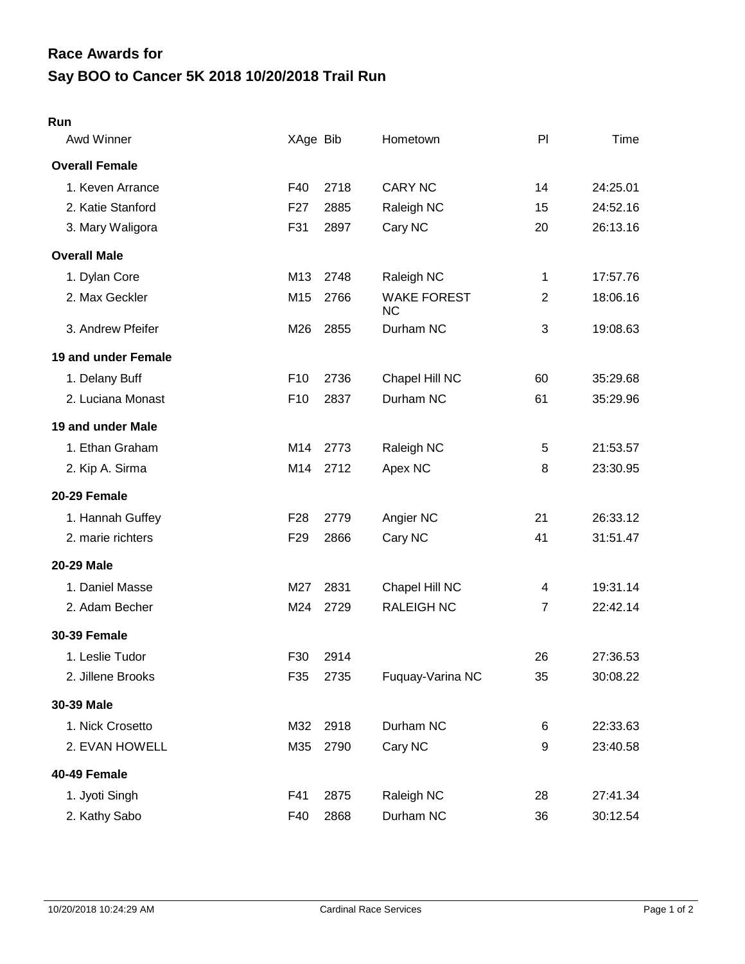## **Say BOO to Cancer 5K 2018 10/20/2018 Trail Run Race Awards for**

## **Run**

| Awd Winner            | XAge Bib        |      | Hometown                        | PI             | Time     |
|-----------------------|-----------------|------|---------------------------------|----------------|----------|
| <b>Overall Female</b> |                 |      |                                 |                |          |
| 1. Keven Arrance      | F40             | 2718 | <b>CARY NC</b>                  | 14             | 24:25.01 |
| 2. Katie Stanford     | F <sub>27</sub> | 2885 | Raleigh NC                      | 15             | 24:52.16 |
| 3. Mary Waligora      | F31             | 2897 | Cary NC                         | 20             | 26:13.16 |
| <b>Overall Male</b>   |                 |      |                                 |                |          |
| 1. Dylan Core         | M13             | 2748 | Raleigh NC                      | 1              | 17:57.76 |
| 2. Max Geckler        | M15             | 2766 | <b>WAKE FOREST</b><br><b>NC</b> | $\overline{2}$ | 18:06.16 |
| 3. Andrew Pfeifer     | M26             | 2855 | Durham NC                       | 3              | 19:08.63 |
| 19 and under Female   |                 |      |                                 |                |          |
| 1. Delany Buff        | F <sub>10</sub> | 2736 | Chapel Hill NC                  | 60             | 35:29.68 |
| 2. Luciana Monast     | F <sub>10</sub> | 2837 | Durham NC                       | 61             | 35:29.96 |
| 19 and under Male     |                 |      |                                 |                |          |
| 1. Ethan Graham       | M14             | 2773 | Raleigh NC                      | 5              | 21:53.57 |
| 2. Kip A. Sirma       | M14             | 2712 | Apex NC                         | 8              | 23:30.95 |
| 20-29 Female          |                 |      |                                 |                |          |
| 1. Hannah Guffey      | F <sub>28</sub> | 2779 | Angier NC                       | 21             | 26:33.12 |
| 2. marie richters     | F <sub>29</sub> | 2866 | Cary NC                         | 41             | 31:51.47 |
| <b>20-29 Male</b>     |                 |      |                                 |                |          |
| 1. Daniel Masse       | M27             | 2831 | Chapel Hill NC                  | 4              | 19:31.14 |
| 2. Adam Becher        | M24             | 2729 | <b>RALEIGH NC</b>               | $\overline{7}$ | 22:42.14 |
| <b>30-39 Female</b>   |                 |      |                                 |                |          |
| 1. Leslie Tudor       | F30             | 2914 |                                 | 26             | 27:36.53 |
| 2. Jillene Brooks     | F35             | 2735 | Fuquay-Varina NC                | 35             | 30:08.22 |
| 30-39 Male            |                 |      |                                 |                |          |
| 1. Nick Crosetto      | M32             | 2918 | Durham NC                       | 6              | 22:33.63 |
| 2. EVAN HOWELL        | M35             | 2790 | Cary NC                         | 9              | 23:40.58 |
| 40-49 Female          |                 |      |                                 |                |          |
| 1. Jyoti Singh        | F41             | 2875 | Raleigh NC                      | 28             | 27:41.34 |
| 2. Kathy Sabo         | F40             | 2868 | Durham NC                       | 36             | 30:12.54 |